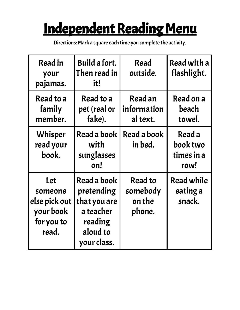# Independent Reading Menu

| Read in<br>your<br>pajamas.                                                | Build a fort.<br>Then read in<br>it!                                                         | Read<br>outside.                        | Read with a<br>flashlight.               |
|----------------------------------------------------------------------------|----------------------------------------------------------------------------------------------|-----------------------------------------|------------------------------------------|
| Read to a<br>family<br>member.                                             | Read to a<br>pet (real or<br>fake).                                                          | Read an<br>information<br>al text.      | Read on a<br>beach<br>towel.             |
| Whisper<br>read your<br>book.                                              | Read a book<br>with<br>sunglasses<br>on!                                                     | Read a book<br>in bed.                  | Read a<br>book two<br>times in a<br>row! |
| <b>Let</b><br>someone<br>else pick out<br>your book<br>for you to<br>read. | Read a book<br>pretending<br>that you are<br>a teacher<br>reading<br>aloud to<br>your class. | Read to<br>somebody<br>on the<br>phone. | <b>Read while</b><br>eating a<br>snack.  |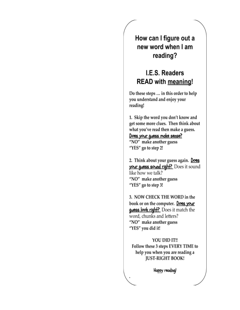How can I figure out a new word when I am reading?

#### I.E.S. Readers **READ with meaning!**

Do these steps ... in this order to help you understand and enjoy your reading!

1. Skip the word you don't know and get some more clues. Then think about what you've read then make a guess. Does your guess make sense?

"NO" make another guess "YES" go to step 2!

2. Think about your guess again. Does your guess sound right? Does it sound like how we talk? "NO" make another guess "YES" go to step 3!

3. NOW CHECK THE WORD in the book or on the computer. Does your **guess look right?** Does it match the word, chunks and letters? "NO" make another guess "YES" you did it!

YOU DID IT!! Follow these 3 steps EVERY TIME to help you when you are reading a **JUST-RIGHT BOOK!** 

Happy reading!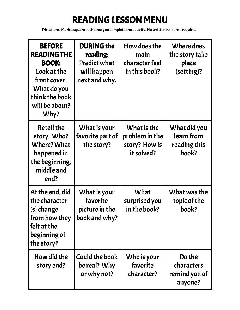## READING LESSON MENU

Directions: Mark a square each time you complete the activity.No written response required.

| <b>BEFORE</b><br><b>READING THE</b><br><b>BOOK:</b><br>Look at the<br>front cover.<br>What do you<br>think the book<br>will be about?<br>Why? | <b>DURING the</b><br>reading:<br><b>Predict what</b><br>will happen<br>next and why. | How does the<br>main<br>character feel<br>in this book?      | Where does<br>the story take<br>place<br>(setting)? |
|-----------------------------------------------------------------------------------------------------------------------------------------------|--------------------------------------------------------------------------------------|--------------------------------------------------------------|-----------------------------------------------------|
| <b>Retell the</b><br>story. Who?<br>Where? What<br>happened in<br>the beginning,<br>middle and<br>end?                                        | What is your<br>favorite part of<br>the story?                                       | What is the<br>problem in the<br>story? How is<br>it solved? | What did you<br>learn from<br>reading this<br>book? |
| At the end, did<br>the character<br>(s) change<br>from how they<br>felt at the<br>beginning of<br>the story?                                  | What is your<br>favorite<br>picture in the<br>book and why?                          | What<br>surprised you<br>in the book?                        | What was the<br>topic of the<br>book?               |
| How did the<br>story end?                                                                                                                     | Could the book<br>be real? Why<br>or why not?                                        | Who is your<br>favorite<br>character?                        | Do the<br>characters<br>remind you of<br>anyone?    |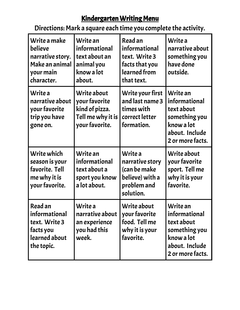#### Kindergarten Writing Menu

| Write a make<br>believe<br>narrative story.<br>Make an animal<br>your main<br>character. | Write an<br>informational<br>text about an<br>animal you<br>know a lot<br>about.      | Read an<br>informational<br>text. Write 3<br>facts that you<br>learned from<br>that text. | Write a<br>narrative about<br>something you<br>have done<br>outside.                                         |
|------------------------------------------------------------------------------------------|---------------------------------------------------------------------------------------|-------------------------------------------------------------------------------------------|--------------------------------------------------------------------------------------------------------------|
| Write a<br>narrative about<br>your favorite<br>trip you have<br>gone on.                 | Write about<br>your favorite<br>kind of pizza.<br>Tell me why it is<br>your favorite. | Write your first<br>and last name 3<br>times with<br>correct letter<br>formation.         | Write an<br>informational<br>text about<br>something you<br>know a lot<br>about. Include<br>2 or more facts. |
| Write which<br>season is your<br>favorite. Tell<br>me why it is<br>your favorite.        | Write an<br>informational<br>text about a<br>sport you know<br>a lot about.           | Write a<br>narrative story<br>(can be make<br>believe) with a<br>problem and<br>solution. | Write about<br>your favorite<br>sport. Tell me<br>why it is your<br>favorite.                                |
| Read an<br>informational<br>text. Write 3<br>facts you<br>learned about<br>the topic.    | Write a<br>narrative about<br>an experience<br>you had this<br>week.                  | Write about<br>your favorite<br>food. Tell me<br>why it is your<br>favorite.              | Write an<br>informational<br>text about<br>something you<br>know a lot<br>about. Include<br>2 or more facts. |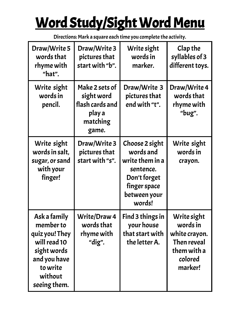# Word Study/Sight Word Menu

| Draw/Write 5<br>words that<br>rhyme with<br>"hat".                                                                                | Draw/Write 3<br>pictures that<br>start with "b".                               | Write sight<br>words in<br>marker.                                                                                    | Clap the<br>syllables of 3<br>different toys.                                                |
|-----------------------------------------------------------------------------------------------------------------------------------|--------------------------------------------------------------------------------|-----------------------------------------------------------------------------------------------------------------------|----------------------------------------------------------------------------------------------|
| Write sight<br>words in<br>pencil.                                                                                                | Make 2 sets of<br>sight word<br>flash cards and<br>play a<br>matching<br>game. | Draw/Write 3<br>pictures that<br>end with "t".                                                                        | Draw/Write 4<br>words that<br>rhyme with<br>"bug".                                           |
| Write sight<br>words in salt,<br>sugar, or sand<br>with your<br>finger!                                                           | Draw/Write 3<br>pictures that<br>start with "s".                               | Choose 2 sight<br>words and<br>write them in a<br>sentence.<br>Don't forget<br>finger space<br>between your<br>words! | Write sight<br>words in<br>crayon.                                                           |
| Ask a family<br>member to<br>quiz you! They<br>will read 10<br>sight words<br>and you have<br>to write<br>without<br>seeing them. | Write/Draw 4<br>words that<br>rhyme with<br>"dig".                             | Find 3 things in<br>your house<br>that start with<br>the letter A.                                                    | Write sight<br>words in<br>white crayon.<br>Then reveal<br>them with a<br>colored<br>marker! |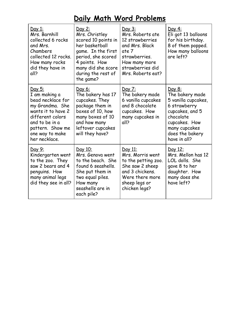## **Daily Math Word Problems**

| <u>Day 1:</u><br>Mrs. Barnhill<br>collected 6 rocks<br>and Mrs.<br>Chambers<br>collected 12 rocks.<br>How many rocks<br>did they have in<br>all?                                           | <u>Day 2:</u><br>Mrs. Christley<br>scored 10 points in<br>her basketball<br>game. In the first<br>period, she scored<br>4 points. How<br>many did she score<br>during the rest of<br>the game? | Day 3:<br>Mrs. Roberts ate<br>12 strawberries<br>and Mrs. Black<br>ate 7<br>strawberries.<br>How many more<br>strawberries did<br>Mrs. Roberts eat? | <u>Day 4:</u><br>Eli got 13 balloons<br>for his birthday.<br>8 of them popped.<br>How many balloons<br>are left?                                                             |
|--------------------------------------------------------------------------------------------------------------------------------------------------------------------------------------------|------------------------------------------------------------------------------------------------------------------------------------------------------------------------------------------------|-----------------------------------------------------------------------------------------------------------------------------------------------------|------------------------------------------------------------------------------------------------------------------------------------------------------------------------------|
| <u>Day 5:</u><br>I am making a<br>bead necklace for<br>my Grandma. She<br>wants it to have 2<br>different colors<br>and to be in a<br>pattern. Show me<br>one way to make<br>her necklace. | <u>Day 6:</u><br>The bakery has 17<br>cupcakes. They<br>package them in<br>boxes of 10, how<br>many boxes of 10<br>and how many<br>leftover cupcakes<br>will they have?                        | Day 7:<br>The bakery made<br>6 vanilla cupcakes<br>and 8 chocolate<br>cupcakes. How<br>many cupcakes in<br>all?                                     | <u>Day 8:</u><br>The bakery made<br>5 vanilla cupcakes,<br>6 strawberry<br>cupcakes, and 5<br>chocolate<br>cupcakes. How<br>many cupcakes<br>does the bakery<br>have in all? |
| <u>Day 9:</u><br>Kindergarten went<br>to the zoo. They<br>saw 2 bears and 4<br>penguins. How<br>many animal legs<br>did they see in all?                                                   | Day 10:<br>Mrs. Genova went<br>to the beach. She<br>found 6 seashells.<br>She put them in<br>two equal piles.<br>How many<br>seashells are in<br>each pile?                                    | Day 11:<br>Mrs. Morris went<br>to the petting zoo.<br>She saw 2 sheep<br>and 3 chickens.<br>Were there more<br>sheep legs or<br>chicken legs?       | <u>Day 12:</u><br>Mrs. Mellon has 12<br>LOL dolls. She<br>gave 8 to her<br>daughter. How<br>many does she<br>have left?                                                      |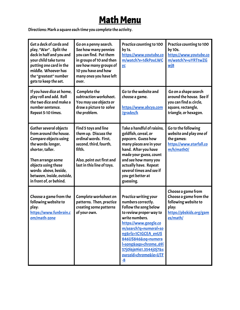## Math Menu

| Get a deck of cards and<br>play, "War". Split the<br>deck in half and you and<br>your child take turns<br>putting one card in the<br>middle. Whoever has<br>the "greatest" number<br>gets to keep the set.                                       | Go on a penny search.<br>See how many pennies<br>you can find. Put them<br>in groups of 10 and then<br>see how many groups of<br>10 you have and how<br>many ones you have left<br>over. | Practice counting to 100<br>by 1s.<br>https://www.youtube.co<br>m/watch?v=1dkPouLWC<br>yc                                                                                                                                                                                                            | Practice counting to 100<br>by 10s.<br>https://www.youtube.co<br>m/watch?v=uYRTtwZG<br><u>wj8</u>                          |
|--------------------------------------------------------------------------------------------------------------------------------------------------------------------------------------------------------------------------------------------------|------------------------------------------------------------------------------------------------------------------------------------------------------------------------------------------|------------------------------------------------------------------------------------------------------------------------------------------------------------------------------------------------------------------------------------------------------------------------------------------------------|----------------------------------------------------------------------------------------------------------------------------|
| If you have dice at home,<br>play roll and add. Roll<br>the two dice and make a<br>number sentence.<br>Repeat 5-10 times.                                                                                                                        | Complete the<br>subtraction worksheet.<br>You may use objects or<br>draw a picture to solve<br>the problem.                                                                              | Go to the website and<br>choose a game.<br><u> https://www.abcya.com</u><br>/grades/k                                                                                                                                                                                                                | Go on a shape search<br>around the house. See if<br>you can find a: circle,<br>square, rectangle,<br>triangle, or hexagon. |
| Gather several objects<br>from around the house.<br>Compare objects using<br>the words: longer,<br>shorter, taller.<br>Then arrange some<br>objects using these<br>words: above, beside,<br>between, inside, outside,<br>in front of, or behind. | Find 5 toys and line<br>them up. Discuss the<br>ordinal words. First,<br>second, third, fourth,<br>fifth.<br>Also, point out first and<br>last in this line of toys.                     | Take a handful of raisins,<br>goldfish, cereal, or<br>popcorn. Guess how<br>many pieces are in your<br>hand. After you have<br>made your guess, count<br>and see how many you<br>actually have. Repeat<br>several times and see if<br>you get better at<br>guessing.                                 | Go to the following<br>website and play one of<br>the games:<br>https://www.starfall.co<br>m/h/math0/                      |
| Choose a game from the<br>following website to<br>play:<br>https://www.funbrain.c<br>om/math-zone                                                                                                                                                | Complete worksheet on<br>patterns. Then, practice<br>creating some patterns<br>of your own.                                                                                              | Practice writing your<br>numbers correctly.<br>Follow the song below<br>to review proper way to<br>write numbers.<br>https://www.google.co<br>m/search?q=numeral+so<br>ng&rlz=1C1GCEA enUS<br>846US846&oq=numera<br>I+song&aqs=chrome69i<br>57j0l6j69i61.3544j0j7&s<br>ourceid=chrome&ie=UTF<br>$-8$ | Choose a game from<br>Choose a game from the<br>following website to<br>play:<br>https://pbskids.org/gam<br>es/math/       |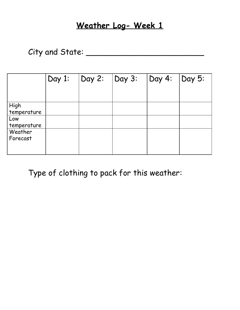#### **Weather Log- Week 1**

### City and State: \_\_\_\_\_\_\_\_\_\_\_\_\_\_\_\_\_\_\_\_\_\_\_\_

|                     | Day 1: | $\vert$ Day 2: | $\log 3$ : | $\vert$ Day 4: $\vert$ Day 5: |  |
|---------------------|--------|----------------|------------|-------------------------------|--|
|                     |        |                |            |                               |  |
| High<br>temperature |        |                |            |                               |  |
| Low<br>temperature  |        |                |            |                               |  |
| Weather<br>Forecast |        |                |            |                               |  |

Type of clothing to pack for this weather: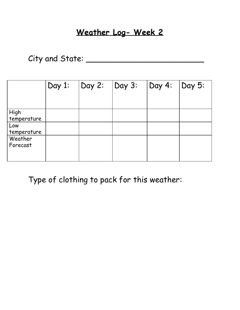### **Weather Log- Week 2**

City and State: \_\_\_\_\_\_\_\_\_\_\_\_\_\_\_\_\_\_\_\_\_\_\_\_

|                                                      | Day 1: | Day 2: | Day 3: | Day 4: | $\log 5$ : |
|------------------------------------------------------|--------|--------|--------|--------|------------|
| High<br>temperature<br>Low<br>temperature<br>Weather |        |        |        |        |            |
| Forecast                                             |        |        |        |        |            |

Type of clothing to pack for this weather: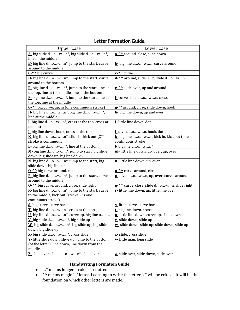#### Letter FormationGuide:

| <b>Upper Case</b>                                                         | Lower Case                                    |
|---------------------------------------------------------------------------|-----------------------------------------------|
| $\underline{\mathbf{A}}$ - big slide down*, big slide down*,              | a-^^ around, close, slide down                |
| line in the middle                                                        |                                               |
| B- big line down*, jump to the start, curve                               | b- big line down, curve around                |
| around to the middle                                                      |                                               |
| C-^^ big curve                                                            | $C^{-\Lambda}$ curve                          |
| D- big line down*, jump to the start, curve                               | d-^^ around, slide up, slide down             |
| around to the bottom                                                      |                                               |
| $E$ - big line down <sup>*</sup> , jump to the start, line at             | e- <sup>^^</sup> slide over, up and around    |
| the top, line at the middle, line at the bottom                           |                                               |
| $\underline{F}$ - big line down <sup>*</sup> , jump to the start, line at | f- curve slide down, cross                    |
| the top, line at the middle                                               |                                               |
| G-^^ big curve, up, in (one continuous stroke)                            | g-^^around, close, slide down, hook           |
| <b>H</b> - big line down*, big line down*,                                | h- big line down, up and over                 |
| line at the middle                                                        |                                               |
| I- big line down*, cross at the top, cross at                             | i-little line down, dot                       |
| the bottom                                                                |                                               |
| I- big line down, hook, cross at the top                                  | i-dive down, hook, dot                        |
| K- big line down*, slide in, kick out (2 <sup>nd</sup>                    | k- big line down, kick in, kick out (one      |
| stroke is continuous)                                                     | continuous stroke)                            |
| L- big line down*, line at the bottom                                     | $L$ big line down*                            |
| M- big line down*, jump to start, big slide                               | m-little line down, up, over, up, over        |
| down, big slide up, big line down                                         |                                               |
| N- big line down*, jump to the start, big                                 | n-little line down, up, over                  |
| slide down, big line up                                                   |                                               |
| 0- <sup>^^</sup> big curve around, close                                  | o-^^ curve around, close                      |
| P-big line down*, jump to the start, curve                                | p- dive down, up, over, curve, around         |
| around to the middle                                                      |                                               |
| Q-^^ big curve, around, close, slide right                                | g-^^ curve, close, slide down, slide right    |
| $R$ - big line down <sup>*</sup> , jump to the start, curve               | r-little line down, up, little line over      |
| to the middle, kick out (stroke 2 is one                                  |                                               |
| continuous stroke)                                                        |                                               |
| S- big curve, curve back                                                  | s-little curve, curve back                    |
| $T$ - big line down*, cross at the top                                    | t- big line down, cross                       |
| U- big line down*, curve up, big line up                                  | u-little line down, curve up, slide down      |
| V- big slide down*, big slide up                                          | v- slide down, slide up                       |
| W- big slide down*, big slide up; big slide                               | w- slide down, slide up; slide down, slide up |
| down, big slide up                                                        |                                               |
| X- big slide down*, cross slide                                           | x- slide, cross slide                         |
| Y-little slide down, slide up; jump to the bottom                         | y-little man, long slide                      |
| (of the letter), line down, line down from the                            |                                               |
| middle                                                                    |                                               |
| Z- slide over, slide down*, slide over                                    | z- slide over, slide down, slide over         |

#### **Handwriting Formation Guide:**

- …\* means longer stroke is required
- <sup>A</sup> means magic "c" letter. Learning to write the letter "c" will be critical. It will be the foundation on which other letters are made.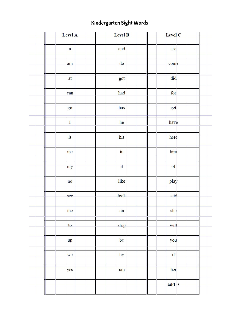#### Kindergarten Sight Words

| Level A     | Level B                | Level C |  |
|-------------|------------------------|---------|--|
| a           | and                    | are     |  |
| am          | do                     | come    |  |
| at          | got                    | did     |  |
| can         | had                    | for     |  |
| <b>go</b>   | has                    | get     |  |
| $\mathbf I$ | he                     | have    |  |
| is          | his                    | here    |  |
| me          | $\overline{\text{in}}$ | him.    |  |
| my          | $\mathbf{i}$           | of      |  |
| no          | like                   | play    |  |
| see         | look                   | said    |  |
| the         | on                     | she     |  |
| to          | stop                   | will    |  |
| up          | be                     | you     |  |
| we          | by                     | if      |  |
| yes         | ran                    | her     |  |
|             |                        | add -s  |  |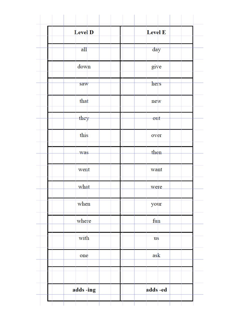| Level D  | <b>Level E</b> |
|----------|----------------|
| all      | day            |
| down     | give           |
| saw      | hers           |
| that     | new            |
| they     | out            |
| this     | over           |
| was      | then           |
| went     | want           |
| what     | were           |
| when     | your           |
| where    | fun            |
| with     | <b>us</b>      |
| one      | ask            |
|          |                |
| adds-ing | adds-ed        |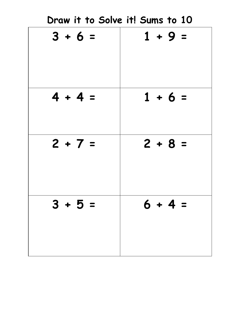| Draw it to Solve it! Sums to 10 |           |
|---------------------------------|-----------|
| $3 + 6 =$                       | $1 + 9 =$ |
| $4 + 4 =$                       | $1 + 6 =$ |
| $2 + 7 =$                       | $2 + 8 =$ |
| $3 + 5 =$                       | $6 + 4 =$ |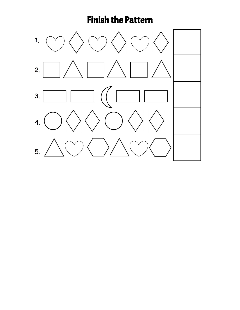# Finish the Pattern